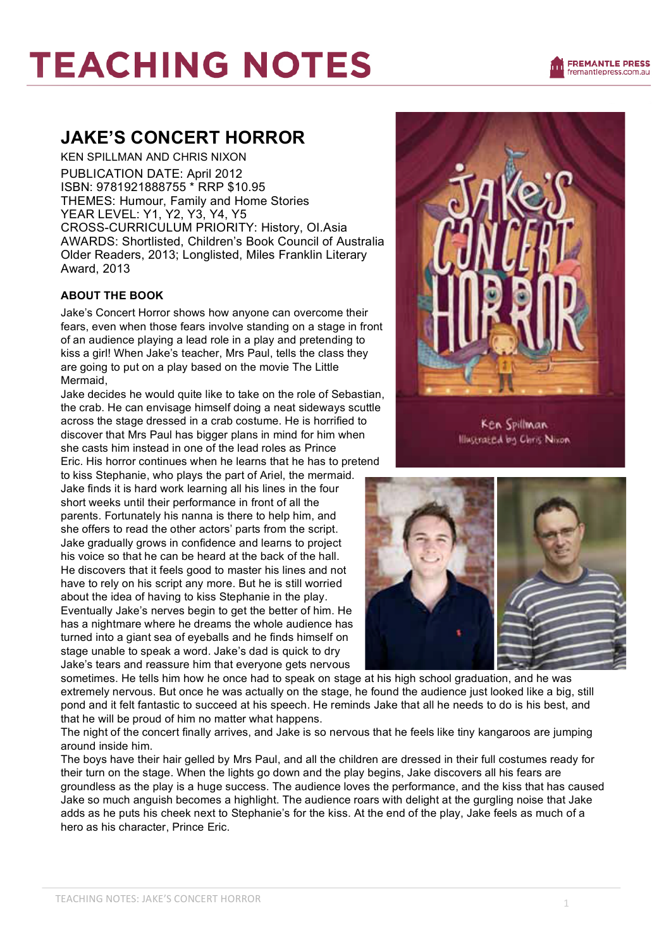# **TEACHING NOTES**

### **JAKE'S CONCERT HORROR**

KEN SPILLMAN AND CHRIS NIXON PUBLICATION DATE: April 2012 ISBN: 9781921888755 \* RRP \$10.95 THEMES: Humour, Family and Home Stories YEAR LEVEL: Y1, Y2, Y3, Y4, Y5 CROSS-CURRICULUM PRIORITY: History, OI.Asia AWARDS: Shortlisted, Children's Book Council of Australia Older Readers, 2013; Longlisted, Miles Franklin Literary Award, 2013

### **ABOUT THE BOOK**

Jake's Concert Horror shows how anyone can overcome their fears, even when those fears involve standing on a stage in front of an audience playing a lead role in a play and pretending to kiss a girl! When Jake's teacher, Mrs Paul, tells the class they are going to put on a play based on the movie The Little Mermaid,

Jake decides he would quite like to take on the role of Sebastian, the crab. He can envisage himself doing a neat sideways scuttle across the stage dressed in a crab costume. He is horrified to discover that Mrs Paul has bigger plans in mind for him when she casts him instead in one of the lead roles as Prince Eric. His horror continues when he learns that he has to pretend

to kiss Stephanie, who plays the part of Ariel, the mermaid. Jake finds it is hard work learning all his lines in the four short weeks until their performance in front of all the parents. Fortunately his nanna is there to help him, and she offers to read the other actors' parts from the script. Jake gradually grows in confidence and learns to project his voice so that he can be heard at the back of the hall. He discovers that it feels good to master his lines and not have to rely on his script any more. But he is still worried about the idea of having to kiss Stephanie in the play. Eventually Jake's nerves begin to get the better of him. He has a nightmare where he dreams the whole audience has turned into a giant sea of eyeballs and he finds himself on stage unable to speak a word. Jake's dad is quick to dry Jake's tears and reassure him that everyone gets nervous



**Illustrated by Chris Nixon** 



sometimes. He tells him how he once had to speak on stage at his high school graduation, and he was extremely nervous. But once he was actually on the stage, he found the audience just looked like a big, still pond and it felt fantastic to succeed at his speech. He reminds Jake that all he needs to do is his best, and that he will be proud of him no matter what happens.

The night of the concert finally arrives, and Jake is so nervous that he feels like tiny kangaroos are jumping around inside him.

The boys have their hair gelled by Mrs Paul, and all the children are dressed in their full costumes ready for their turn on the stage. When the lights go down and the play begins, Jake discovers all his fears are groundless as the play is a huge success. The audience loves the performance, and the kiss that has caused Jake so much anguish becomes a highlight. The audience roars with delight at the gurgling noise that Jake adds as he puts his cheek next to Stephanie's for the kiss. At the end of the play, Jake feels as much of a hero as his character, Prince Eric.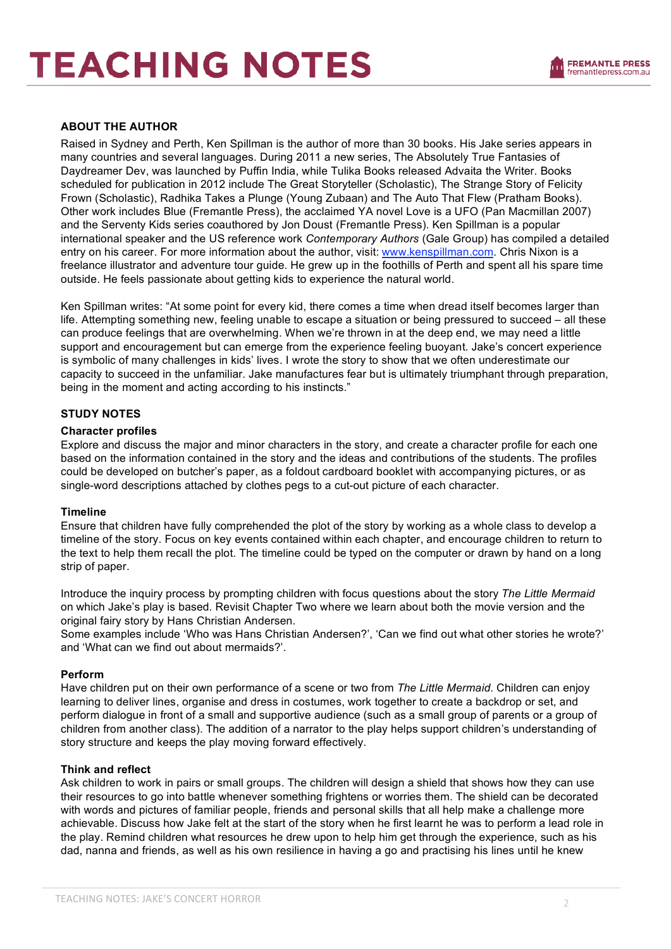## **TEACHING NOTES**

#### **ABOUT THE AUTHOR**

Raised in Sydney and Perth, Ken Spillman is the author of more than 30 books. His Jake series appears in many countries and several languages. During 2011 a new series, The Absolutely True Fantasies of Daydreamer Dev, was launched by Puffin India, while Tulika Books released Advaita the Writer. Books scheduled for publication in 2012 include The Great Storyteller (Scholastic), The Strange Story of Felicity Frown (Scholastic), Radhika Takes a Plunge (Young Zubaan) and The Auto That Flew (Pratham Books). Other work includes Blue (Fremantle Press), the acclaimed YA novel Love is a UFO (Pan Macmillan 2007) and the Serventy Kids series coauthored by Jon Doust (Fremantle Press). Ken Spillman is a popular international speaker and the US reference work *Contemporary Authors* (Gale Group) has compiled a detailed entry on his career. For more information about the author, visit: www.kenspillman.com. Chris Nixon is a freelance illustrator and adventure tour guide. He grew up in the foothills of Perth and spent all his spare time outside. He feels passionate about getting kids to experience the natural world.

Ken Spillman writes: "At some point for every kid, there comes a time when dread itself becomes larger than life. Attempting something new, feeling unable to escape a situation or being pressured to succeed – all these can produce feelings that are overwhelming. When we're thrown in at the deep end, we may need a little support and encouragement but can emerge from the experience feeling buoyant. Jake's concert experience is symbolic of many challenges in kids' lives. I wrote the story to show that we often underestimate our capacity to succeed in the unfamiliar. Jake manufactures fear but is ultimately triumphant through preparation, being in the moment and acting according to his instincts."

#### **STUDY NOTES**

#### **Character profiles**

Explore and discuss the major and minor characters in the story, and create a character profile for each one based on the information contained in the story and the ideas and contributions of the students. The profiles could be developed on butcher's paper, as a foldout cardboard booklet with accompanying pictures, or as single-word descriptions attached by clothes pegs to a cut-out picture of each character.

#### **Timeline**

Ensure that children have fully comprehended the plot of the story by working as a whole class to develop a timeline of the story. Focus on key events contained within each chapter, and encourage children to return to the text to help them recall the plot. The timeline could be typed on the computer or drawn by hand on a long strip of paper.

Introduce the inquiry process by prompting children with focus questions about the story *The Little Mermaid*  on which Jake's play is based. Revisit Chapter Two where we learn about both the movie version and the original fairy story by Hans Christian Andersen.

Some examples include 'Who was Hans Christian Andersen?', 'Can we find out what other stories he wrote?' and 'What can we find out about mermaids?'.

#### **Perform**

Have children put on their own performance of a scene or two from *The Little Mermaid*. Children can enjoy learning to deliver lines, organise and dress in costumes, work together to create a backdrop or set, and perform dialogue in front of a small and supportive audience (such as a small group of parents or a group of children from another class). The addition of a narrator to the play helps support children's understanding of story structure and keeps the play moving forward effectively.

#### **Think and reflect**

Ask children to work in pairs or small groups. The children will design a shield that shows how they can use their resources to go into battle whenever something frightens or worries them. The shield can be decorated with words and pictures of familiar people, friends and personal skills that all help make a challenge more achievable. Discuss how Jake felt at the start of the story when he first learnt he was to perform a lead role in the play. Remind children what resources he drew upon to help him get through the experience, such as his dad, nanna and friends, as well as his own resilience in having a go and practising his lines until he knew